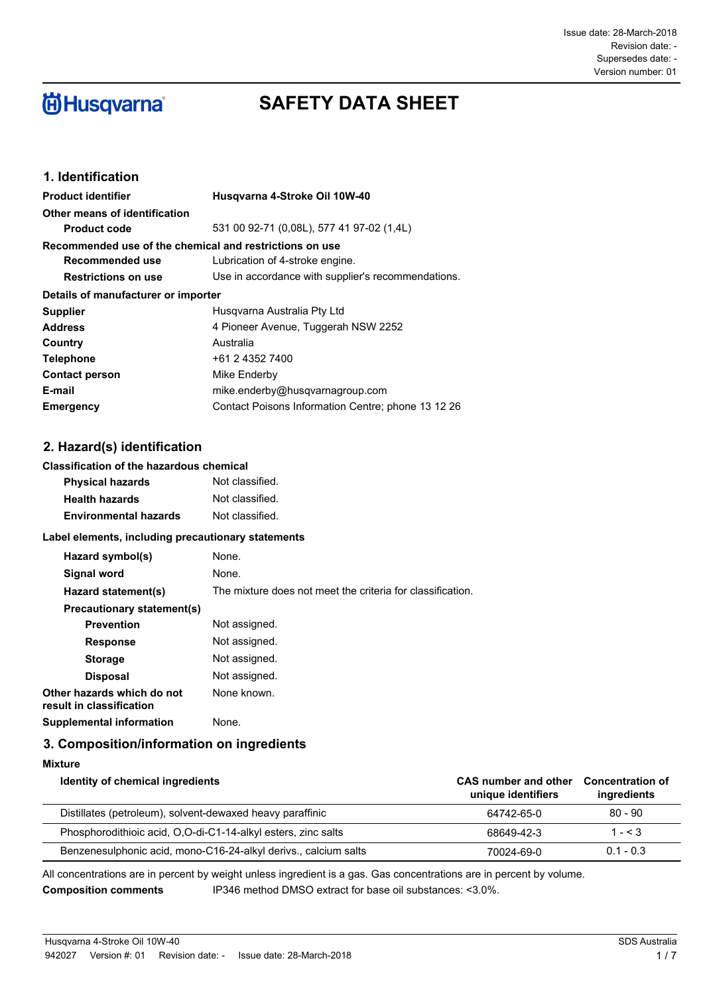# **尚Husqvarna**®

## **SAFETY DATA SHEET**

## **1. Identification**

| <b>Product identifier</b>                               | Husgvarna 4-Stroke Oil 10W-40                      |  |
|---------------------------------------------------------|----------------------------------------------------|--|
| Other means of identification                           |                                                    |  |
| <b>Product code</b>                                     | 531 00 92-71 (0.08L), 577 41 97-02 (1.4L)          |  |
| Recommended use of the chemical and restrictions on use |                                                    |  |
| Recommended use                                         | Lubrication of 4-stroke engine.                    |  |
| <b>Restrictions on use</b>                              | Use in accordance with supplier's recommendations. |  |
| Details of manufacturer or importer                     |                                                    |  |
| <b>Supplier</b>                                         | Husgvarna Australia Pty Ltd                        |  |
| <b>Address</b>                                          | 4 Pioneer Avenue, Tuggerah NSW 2252                |  |
| Country                                                 | Australia                                          |  |
| <b>Telephone</b>                                        | +61 2 4352 7400                                    |  |
| <b>Contact person</b>                                   | Mike Enderby                                       |  |
| E-mail                                                  | mike.enderby@husqvarnagroup.com                    |  |
| <b>Emergency</b>                                        | Contact Poisons Information Centre; phone 13 12 26 |  |

## **2. Hazard(s) identification**

#### **Classification of the hazardous chemical**

| <b>Physical hazards</b>      | Not classified. |
|------------------------------|-----------------|
| <b>Health hazards</b>        | Not classified. |
| <b>Environmental hazards</b> | Not classified. |

#### **Label elements, including precautionary statements**

| Hazard symbol(s)                                       | None.                                                      |
|--------------------------------------------------------|------------------------------------------------------------|
| Signal word                                            | None.                                                      |
| Hazard statement(s)                                    | The mixture does not meet the criteria for classification. |
| Precautionary statement(s)                             |                                                            |
| <b>Prevention</b>                                      | Not assigned.                                              |
| <b>Response</b>                                        | Not assigned.                                              |
| <b>Storage</b>                                         | Not assigned.                                              |
| <b>Disposal</b>                                        | Not assigned.                                              |
| Other hazards which do not<br>result in classification | None known.                                                |
| Supplemental information                               | None.                                                      |

#### **3. Composition/information on ingredients**

**Mixture**

| Identity of chemical ingredients                                | CAS number and other<br>unique identifiers | <b>Concentration of</b><br>ingredients |
|-----------------------------------------------------------------|--------------------------------------------|----------------------------------------|
| Distillates (petroleum), solvent-dewaxed heavy paraffinic       | 64742-65-0                                 | $80 - 90$                              |
| Phosphorodithioic acid, O,O-di-C1-14-alkyl esters, zinc salts   | 68649-42-3                                 | $1 - < 3$                              |
| Benzenesulphonic acid, mono-C16-24-alkyl derivs., calcium salts | 70024-69-0                                 | $0.1 - 0.3$                            |

All concentrations are in percent by weight unless ingredient is a gas. Gas concentrations are in percent by volume. **Composition comments** IP346 method DMSO extract for base oil substances: <3.0%.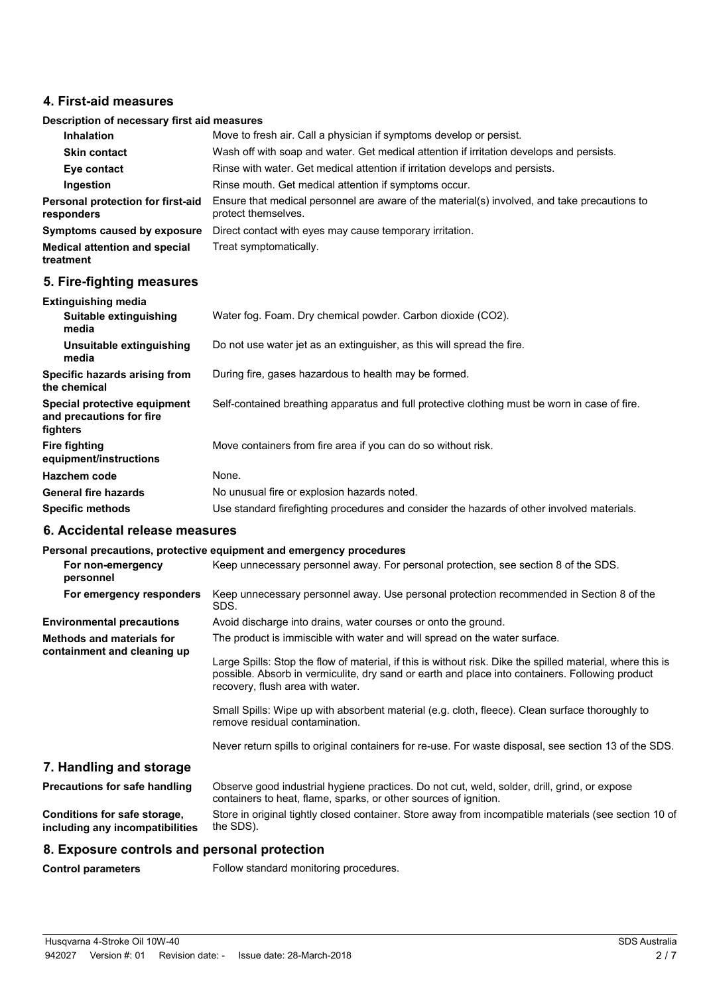#### **4. First-aid measures**

#### **Description of necessary first aid measures**

| Inhalation                                      | Move to fresh air. Call a physician if symptoms develop or persist.                                                 |
|-------------------------------------------------|---------------------------------------------------------------------------------------------------------------------|
| <b>Skin contact</b>                             | Wash off with soap and water. Get medical attention if irritation develops and persists.                            |
| Eye contact                                     | Rinse with water. Get medical attention if irritation develops and persists.                                        |
| Ingestion                                       | Rinse mouth. Get medical attention if symptoms occur.                                                               |
| Personal protection for first-aid<br>responders | Ensure that medical personnel are aware of the material(s) involved, and take precautions to<br>protect themselves. |
| Symptoms caused by exposure                     | Direct contact with eyes may cause temporary irritation.                                                            |
| <b>Medical attention and special</b>            | Treat symptomatically.                                                                                              |

## **5. Fire-fighting measures**

**treatment**

| <b>Extinguishing media</b>                                           |                                                                                               |
|----------------------------------------------------------------------|-----------------------------------------------------------------------------------------------|
| Suitable extinguishing<br>media                                      | Water fog. Foam. Dry chemical powder. Carbon dioxide (CO2).                                   |
| Unsuitable extinguishing<br>media                                    | Do not use water jet as an extinguisher, as this will spread the fire.                        |
| Specific hazards arising from<br>the chemical                        | During fire, gases hazardous to health may be formed.                                         |
| Special protective equipment<br>and precautions for fire<br>fighters | Self-contained breathing apparatus and full protective clothing must be worn in case of fire. |
| <b>Fire fighting</b><br>equipment/instructions                       | Move containers from fire area if you can do so without risk.                                 |
| Hazchem code                                                         | None.                                                                                         |
| <b>General fire hazards</b>                                          | No unusual fire or explosion hazards noted.                                                   |
| <b>Specific methods</b>                                              | Use standard firefighting procedures and consider the hazards of other involved materials.    |

#### **6. Accidental release measures**

## **Personal precautions, protective equipment and emergency procedures**

|                                                                 | , algorim biogeneigini biotegiite admibilialle elle allia dina kiasanniag                                                                                                                                                                         |
|-----------------------------------------------------------------|---------------------------------------------------------------------------------------------------------------------------------------------------------------------------------------------------------------------------------------------------|
| For non-emergency<br>personnel                                  | Keep unnecessary personnel away. For personal protection, see section 8 of the SDS.                                                                                                                                                               |
| For emergency responders                                        | Keep unnecessary personnel away. Use personal protection recommended in Section 8 of the<br>SDS.                                                                                                                                                  |
| <b>Environmental precautions</b>                                | Avoid discharge into drains, water courses or onto the ground.                                                                                                                                                                                    |
| Methods and materials for<br>containment and cleaning up        | The product is immiscible with water and will spread on the water surface.                                                                                                                                                                        |
|                                                                 | Large Spills: Stop the flow of material, if this is without risk. Dike the spilled material, where this is<br>possible. Absorb in vermiculite, dry sand or earth and place into containers. Following product<br>recovery, flush area with water. |
|                                                                 | Small Spills: Wipe up with absorbent material (e.g. cloth, fleece). Clean surface thoroughly to<br>remove residual contamination.                                                                                                                 |
|                                                                 | Never return spills to original containers for re-use. For waste disposal, see section 13 of the SDS.                                                                                                                                             |
| 7. Handling and storage                                         |                                                                                                                                                                                                                                                   |
| Precautions for safe handling                                   | Observe good industrial hygiene practices. Do not cut, weld, solder, drill, grind, or expose<br>containers to heat, flame, sparks, or other sources of ignition.                                                                                  |
| Conditions for safe storage,<br>including any incompatibilities | Store in original tightly closed container. Store away from incompatible materials (see section 10 of<br>the SDS).                                                                                                                                |

#### **8. Exposure controls and personal protection**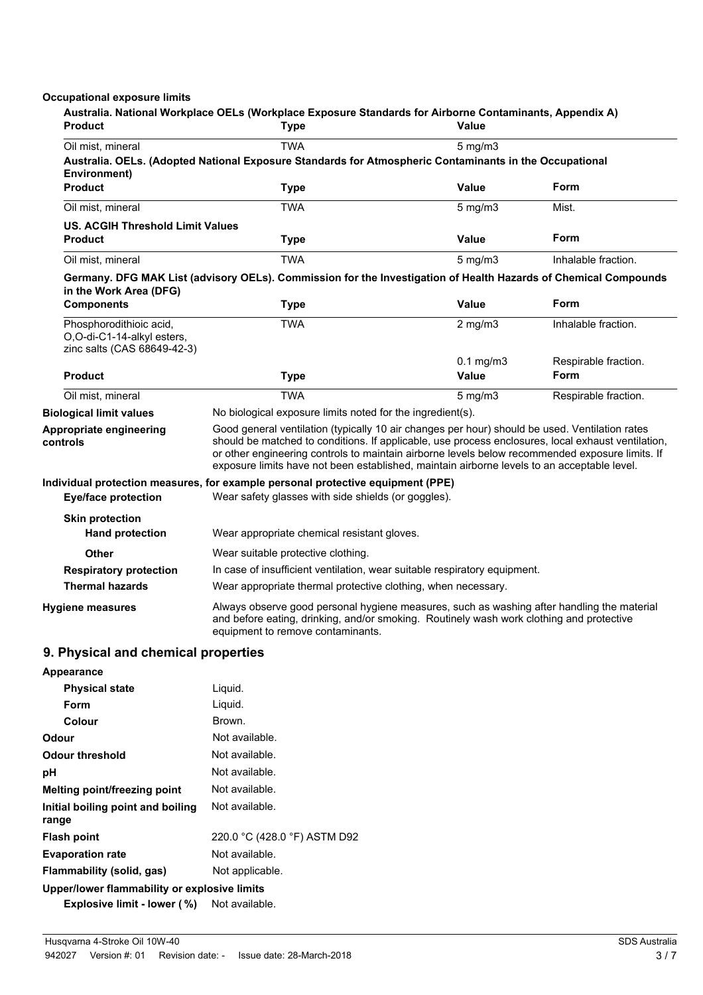#### **Occupational exposure limits**

| <b>Product</b>                                            | Australia. National Workplace OELs (Workplace Exposure Standards for Airborne Contaminants, Appendix A)<br><b>Type</b>                                                                                                                                                                                                                                                                                 | Value                   |                              |
|-----------------------------------------------------------|--------------------------------------------------------------------------------------------------------------------------------------------------------------------------------------------------------------------------------------------------------------------------------------------------------------------------------------------------------------------------------------------------------|-------------------------|------------------------------|
| Oil mist, mineral                                         | <b>TWA</b><br>Australia. OELs. (Adopted National Exposure Standards for Atmospheric Contaminants in the Occupational                                                                                                                                                                                                                                                                                   | $5$ mg/m $3$            |                              |
| Environment)<br><b>Product</b>                            | <b>Type</b>                                                                                                                                                                                                                                                                                                                                                                                            | Value                   | Form                         |
| Oil mist, mineral                                         | <b>TWA</b>                                                                                                                                                                                                                                                                                                                                                                                             | $5$ mg/m $3$            | Mist.                        |
| <b>US. ACGIH Threshold Limit Values</b><br><b>Product</b> | <b>Type</b>                                                                                                                                                                                                                                                                                                                                                                                            | <b>Value</b>            | Form                         |
| Oil mist, mineral                                         | <b>TWA</b>                                                                                                                                                                                                                                                                                                                                                                                             | $5$ mg/m $3$            | Inhalable fraction.          |
|                                                           | Germany. DFG MAK List (advisory OELs). Commission for the Investigation of Health Hazards of Chemical Compounds                                                                                                                                                                                                                                                                                        |                         |                              |
| in the Work Area (DFG)<br><b>Components</b>               | <b>Type</b>                                                                                                                                                                                                                                                                                                                                                                                            | <b>Value</b>            | Form                         |
| Phosphorodithioic acid,<br>O,O-di-C1-14-alkyl esters,     | <b>TWA</b>                                                                                                                                                                                                                                                                                                                                                                                             | $2$ mg/m $3$            | Inhalable fraction.          |
| zinc salts (CAS 68649-42-3)<br><b>Product</b>             | <b>Type</b>                                                                                                                                                                                                                                                                                                                                                                                            | $0.1$ mg/m $3$<br>Value | Respirable fraction.<br>Form |
| Oil mist, mineral                                         | <b>TWA</b>                                                                                                                                                                                                                                                                                                                                                                                             | $5$ mg/m $3$            | Respirable fraction.         |
| <b>Biological limit values</b>                            | No biological exposure limits noted for the ingredient(s).                                                                                                                                                                                                                                                                                                                                             |                         |                              |
| Appropriate engineering<br>controls                       | Good general ventilation (typically 10 air changes per hour) should be used. Ventilation rates<br>should be matched to conditions. If applicable, use process enclosures, local exhaust ventilation,<br>or other engineering controls to maintain airborne levels below recommended exposure limits. If<br>exposure limits have not been established, maintain airborne levels to an acceptable level. |                         |                              |
| <b>Eye/face protection</b>                                | Individual protection measures, for example personal protective equipment (PPE)<br>Wear safety glasses with side shields (or goggles).                                                                                                                                                                                                                                                                 |                         |                              |
| <b>Skin protection</b><br><b>Hand protection</b>          | Wear appropriate chemical resistant gloves.                                                                                                                                                                                                                                                                                                                                                            |                         |                              |
| Other                                                     | Wear suitable protective clothing.                                                                                                                                                                                                                                                                                                                                                                     |                         |                              |
| <b>Respiratory protection</b>                             | In case of insufficient ventilation, wear suitable respiratory equipment.                                                                                                                                                                                                                                                                                                                              |                         |                              |
| <b>Thermal hazards</b>                                    | Wear appropriate thermal protective clothing, when necessary.                                                                                                                                                                                                                                                                                                                                          |                         |                              |
| <b>Hygiene measures</b>                                   | Always observe good personal hygiene measures, such as washing after handling the material<br>and before eating, drinking, and/or smoking. Routinely wash work clothing and protective<br>equipment to remove contaminants.                                                                                                                                                                            |                         |                              |
| 9. Physical and chemical properties                       |                                                                                                                                                                                                                                                                                                                                                                                                        |                         |                              |
| Appearance                                                |                                                                                                                                                                                                                                                                                                                                                                                                        |                         |                              |
| <b>Physical state</b>                                     | Liquid.                                                                                                                                                                                                                                                                                                                                                                                                |                         |                              |
| Form                                                      | Liquid.                                                                                                                                                                                                                                                                                                                                                                                                |                         |                              |
| Colour                                                    | Brown.                                                                                                                                                                                                                                                                                                                                                                                                 |                         |                              |
| Odour                                                     | Not available.                                                                                                                                                                                                                                                                                                                                                                                         |                         |                              |
| <b>Odour threshold</b>                                    | Not available.                                                                                                                                                                                                                                                                                                                                                                                         |                         |                              |
| pH                                                        | Not available.                                                                                                                                                                                                                                                                                                                                                                                         |                         |                              |
| <b>Melting point/freezing point</b>                       | Not available.                                                                                                                                                                                                                                                                                                                                                                                         |                         |                              |
| Initial boiling point and boiling<br>range                | Not available.                                                                                                                                                                                                                                                                                                                                                                                         |                         |                              |
| <b>Flash point</b>                                        | 220.0 °C (428.0 °F) ASTM D92                                                                                                                                                                                                                                                                                                                                                                           |                         |                              |
| <b>Evaporation rate</b>                                   | Not available.                                                                                                                                                                                                                                                                                                                                                                                         |                         |                              |
| Flammability (solid, gas)                                 | Not applicable.                                                                                                                                                                                                                                                                                                                                                                                        |                         |                              |
| Upper/lower flammability or explosive limits              |                                                                                                                                                                                                                                                                                                                                                                                                        |                         |                              |
| Explosive limit - lower (%)                               | Not available.                                                                                                                                                                                                                                                                                                                                                                                         |                         |                              |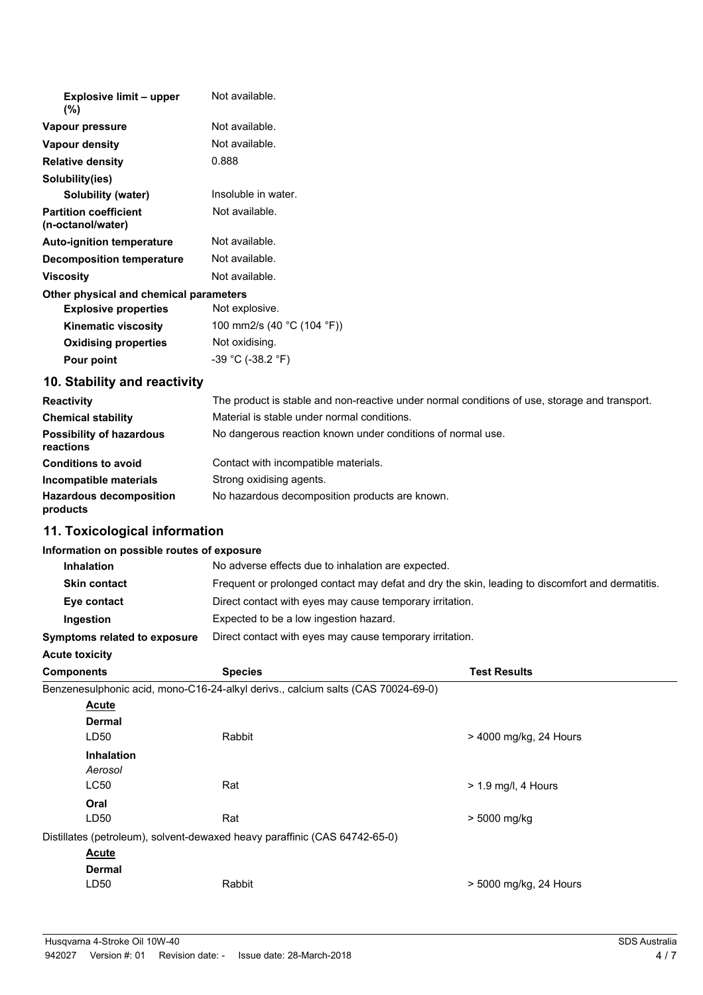| <b>Explosive limit - upper</b><br>$(\%)$          | Not available.                                                                                                    |
|---------------------------------------------------|-------------------------------------------------------------------------------------------------------------------|
| Vapour pressure                                   | Not available.                                                                                                    |
| Vapour density                                    | Not available.                                                                                                    |
| <b>Relative density</b>                           | 0.888                                                                                                             |
| Solubility(ies)                                   |                                                                                                                   |
| Solubility (water)                                | Insoluble in water.                                                                                               |
| <b>Partition coefficient</b><br>(n-octanol/water) | Not available.                                                                                                    |
| <b>Auto-ignition temperature</b>                  | Not available.                                                                                                    |
| Decomposition temperature                         | Not available.                                                                                                    |
| <b>Viscosity</b>                                  | Not available.                                                                                                    |
| Other physical and chemical parameters            |                                                                                                                   |
| <b>Explosive properties</b>                       | Not explosive.                                                                                                    |
| <b>Kinematic viscosity</b>                        | 100 mm2/s (40 °C (104 °F))                                                                                        |
| <b>Oxidising properties</b>                       | Not oxidising.                                                                                                    |
| Pour point                                        | $-39$ °C (-38.2 °F)                                                                                               |
| 10. Stability and reactivity                      |                                                                                                                   |
|                                                   | The same direct to admit to and some somewhat is shown and all constitutions of their contemplates and democratic |

| <b>Reactivity</b>                            | The product is stable and non-reactive under normal conditions of use, storage and transport. |
|----------------------------------------------|-----------------------------------------------------------------------------------------------|
| <b>Chemical stability</b>                    | Material is stable under normal conditions.                                                   |
| <b>Possibility of hazardous</b><br>reactions | No dangerous reaction known under conditions of normal use.                                   |
| <b>Conditions to avoid</b>                   | Contact with incompatible materials.                                                          |
| Incompatible materials                       | Strong oxidising agents.                                                                      |
| <b>Hazardous decomposition</b><br>products   | No hazardous decomposition products are known.                                                |

## **11. Toxicological information**

## **Information on possible routes of exposure**

| <b>Inhalation</b>                   | No adverse effects due to inhalation are expected.                                              |
|-------------------------------------|-------------------------------------------------------------------------------------------------|
| <b>Skin contact</b>                 | Frequent or prolonged contact may defat and dry the skin, leading to discomfort and dermatitis. |
| Eye contact                         | Direct contact with eyes may cause temporary irritation.                                        |
| Ingestion                           | Expected to be a low ingestion hazard.                                                          |
| <b>Symptoms related to exposure</b> | Direct contact with eyes may cause temporary irritation.                                        |

## **Acute toxicity**

| <b>Components</b> | <b>Species</b>                                                                   | <b>Test Results</b>    |
|-------------------|----------------------------------------------------------------------------------|------------------------|
|                   | Benzenesulphonic acid, mono-C16-24-alkyl derivs., calcium salts (CAS 70024-69-0) |                        |
| <b>Acute</b>      |                                                                                  |                        |
| Dermal            |                                                                                  |                        |
| LD50              | Rabbit                                                                           | > 4000 mg/kg, 24 Hours |
| <b>Inhalation</b> |                                                                                  |                        |
| Aerosol           |                                                                                  |                        |
| <b>LC50</b>       | Rat                                                                              | $> 1.9$ mg/l, 4 Hours  |
| Oral              |                                                                                  |                        |
| LD50              | Rat                                                                              | > 5000 mg/kg           |
|                   | Distillates (petroleum), solvent-dewaxed heavy paraffinic (CAS 64742-65-0)       |                        |
| <b>Acute</b>      |                                                                                  |                        |
| <b>Dermal</b>     |                                                                                  |                        |
| LD50              | Rabbit                                                                           | > 5000 mg/kg, 24 Hours |
|                   |                                                                                  |                        |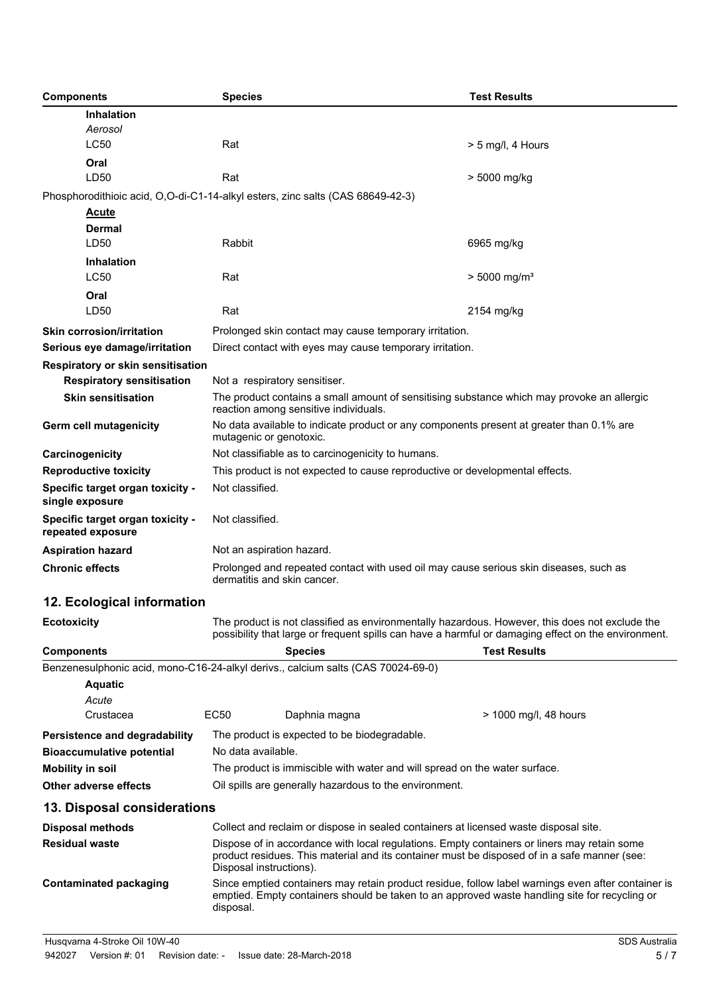| <b>Components</b>                                                                | <b>Species</b>                                                                                                                                                                                                         |                                                                                      | <b>Test Results</b>        |  |
|----------------------------------------------------------------------------------|------------------------------------------------------------------------------------------------------------------------------------------------------------------------------------------------------------------------|--------------------------------------------------------------------------------------|----------------------------|--|
| <b>Inhalation</b>                                                                |                                                                                                                                                                                                                        |                                                                                      |                            |  |
| Aerosol                                                                          |                                                                                                                                                                                                                        |                                                                                      |                            |  |
| <b>LC50</b>                                                                      | Rat                                                                                                                                                                                                                    |                                                                                      | $> 5$ mg/l, 4 Hours        |  |
| Oral                                                                             |                                                                                                                                                                                                                        |                                                                                      |                            |  |
| LD50                                                                             | Rat                                                                                                                                                                                                                    |                                                                                      | > 5000 mg/kg               |  |
| Phosphorodithioic acid, O,O-di-C1-14-alkyl esters, zinc salts (CAS 68649-42-3)   |                                                                                                                                                                                                                        |                                                                                      |                            |  |
| <b>Acute</b>                                                                     |                                                                                                                                                                                                                        |                                                                                      |                            |  |
| Dermal                                                                           |                                                                                                                                                                                                                        |                                                                                      |                            |  |
| LD50                                                                             | Rabbit                                                                                                                                                                                                                 |                                                                                      | 6965 mg/kg                 |  |
| <b>Inhalation</b>                                                                |                                                                                                                                                                                                                        |                                                                                      |                            |  |
| <b>LC50</b>                                                                      | Rat                                                                                                                                                                                                                    |                                                                                      | $> 5000$ mg/m <sup>3</sup> |  |
| Oral                                                                             |                                                                                                                                                                                                                        |                                                                                      |                            |  |
| LD50                                                                             | Rat                                                                                                                                                                                                                    |                                                                                      | 2154 mg/kg                 |  |
| <b>Skin corrosion/irritation</b>                                                 | Prolonged skin contact may cause temporary irritation.                                                                                                                                                                 |                                                                                      |                            |  |
| Serious eye damage/irritation                                                    | Direct contact with eyes may cause temporary irritation.                                                                                                                                                               |                                                                                      |                            |  |
| Respiratory or skin sensitisation                                                |                                                                                                                                                                                                                        |                                                                                      |                            |  |
| <b>Respiratory sensitisation</b>                                                 | Not a respiratory sensitiser.                                                                                                                                                                                          |                                                                                      |                            |  |
| <b>Skin sensitisation</b>                                                        | The product contains a small amount of sensitising substance which may provoke an allergic<br>reaction among sensitive individuals.                                                                                    |                                                                                      |                            |  |
| Germ cell mutagenicity                                                           | No data available to indicate product or any components present at greater than 0.1% are<br>mutagenic or genotoxic.                                                                                                    |                                                                                      |                            |  |
| Carcinogenicity                                                                  | Not classifiable as to carcinogenicity to humans.                                                                                                                                                                      |                                                                                      |                            |  |
| <b>Reproductive toxicity</b>                                                     | This product is not expected to cause reproductive or developmental effects.                                                                                                                                           |                                                                                      |                            |  |
| Specific target organ toxicity -<br>single exposure                              | Not classified.                                                                                                                                                                                                        |                                                                                      |                            |  |
| Specific target organ toxicity -<br>repeated exposure                            | Not classified.                                                                                                                                                                                                        |                                                                                      |                            |  |
| <b>Aspiration hazard</b>                                                         | Not an aspiration hazard.                                                                                                                                                                                              |                                                                                      |                            |  |
| <b>Chronic effects</b>                                                           | Prolonged and repeated contact with used oil may cause serious skin diseases, such as<br>dermatitis and skin cancer.                                                                                                   |                                                                                      |                            |  |
| 12. Ecological information                                                       |                                                                                                                                                                                                                        |                                                                                      |                            |  |
| <b>Ecotoxicity</b>                                                               | The product is not classified as environmentally hazardous. However, this does not exclude the<br>possibility that large or frequent spills can have a harmful or damaging effect on the environment.                  |                                                                                      |                            |  |
| <b>Components</b>                                                                |                                                                                                                                                                                                                        | <b>Species</b>                                                                       | <b>Test Results</b>        |  |
| Benzenesulphonic acid, mono-C16-24-alkyl derivs., calcium salts (CAS 70024-69-0) |                                                                                                                                                                                                                        |                                                                                      |                            |  |
| <b>Aquatic</b>                                                                   |                                                                                                                                                                                                                        |                                                                                      |                            |  |
| Acute                                                                            |                                                                                                                                                                                                                        |                                                                                      |                            |  |
| Crustacea                                                                        | <b>EC50</b>                                                                                                                                                                                                            | Daphnia magna                                                                        | > 1000 mg/l, 48 hours      |  |
| Persistence and degradability                                                    |                                                                                                                                                                                                                        | The product is expected to be biodegradable.                                         |                            |  |
| <b>Bioaccumulative potential</b>                                                 | No data available.                                                                                                                                                                                                     |                                                                                      |                            |  |
| <b>Mobility in soil</b>                                                          | The product is immiscible with water and will spread on the water surface.                                                                                                                                             |                                                                                      |                            |  |
| <b>Other adverse effects</b>                                                     | Oil spills are generally hazardous to the environment.                                                                                                                                                                 |                                                                                      |                            |  |
| 13. Disposal considerations                                                      |                                                                                                                                                                                                                        |                                                                                      |                            |  |
| <b>Disposal methods</b>                                                          |                                                                                                                                                                                                                        | Collect and reclaim or dispose in sealed containers at licensed waste disposal site. |                            |  |
| <b>Residual waste</b>                                                            | Dispose of in accordance with local regulations. Empty containers or liners may retain some<br>product residues. This material and its container must be disposed of in a safe manner (see:<br>Disposal instructions). |                                                                                      |                            |  |
| <b>Contaminated packaging</b>                                                    | Since emptied containers may retain product residue, follow label warnings even after container is<br>emptied. Empty containers should be taken to an approved waste handling site for recycling or<br>disposal.       |                                                                                      |                            |  |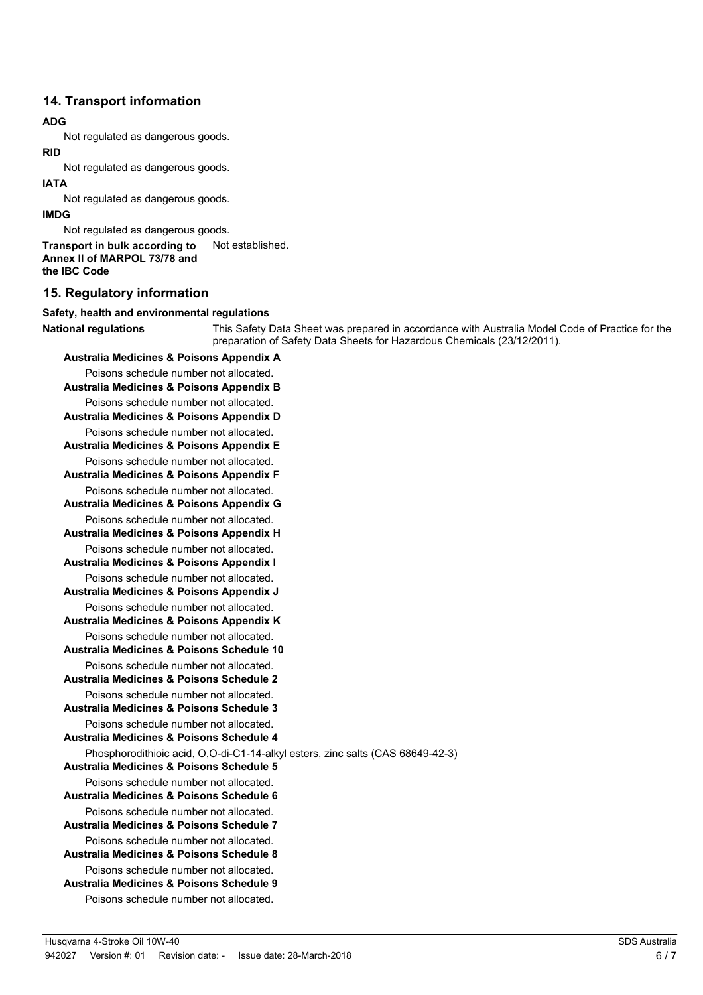## **14. Transport information**

#### **ADG**

Not regulated as dangerous goods.

#### **RID**

Not regulated as dangerous goods.

#### **IATA**

Not regulated as dangerous goods.

#### **IMDG**

Not regulated as dangerous goods.

**Transport in bulk according to** Not established. **Annex II of MARPOL 73/78 and the IBC Code**

## **15. Regulatory information**

#### **Safety, health and environmental regulations**

This Safety Data Sheet was prepared in accordance with Australia Model Code of Practice for the preparation of Safety Data Sheets for Hazardous Chemicals (23/12/2011). **National regulations**

**Australia Medicines & Poisons Appendix A** Poisons schedule number not allocated. **Australia Medicines & Poisons Appendix B** Poisons schedule number not allocated. **Australia Medicines & Poisons Appendix D** Poisons schedule number not allocated. **Australia Medicines & Poisons Appendix E** Poisons schedule number not allocated. **Australia Medicines & Poisons Appendix F** Poisons schedule number not allocated. **Australia Medicines & Poisons Appendix G** Poisons schedule number not allocated. **Australia Medicines & Poisons Appendix H** Poisons schedule number not allocated. **Australia Medicines & Poisons Appendix I** Poisons schedule number not allocated. **Australia Medicines & Poisons Appendix J** Poisons schedule number not allocated. **Australia Medicines & Poisons Appendix K** Poisons schedule number not allocated. **Australia Medicines & Poisons Schedule 10** Poisons schedule number not allocated. **Australia Medicines & Poisons Schedule 2** Poisons schedule number not allocated. **Australia Medicines & Poisons Schedule 3** Poisons schedule number not allocated. **Australia Medicines & Poisons Schedule 4** Phosphorodithioic acid, O,O-di-C1-14-alkyl esters, zinc salts (CAS 68649-42-3) **Australia Medicines & Poisons Schedule 5** Poisons schedule number not allocated. **Australia Medicines & Poisons Schedule 6** Poisons schedule number not allocated. **Australia Medicines & Poisons Schedule 7** Poisons schedule number not allocated. **Australia Medicines & Poisons Schedule 8** Poisons schedule number not allocated. **Australia Medicines & Poisons Schedule 9** Poisons schedule number not allocated.